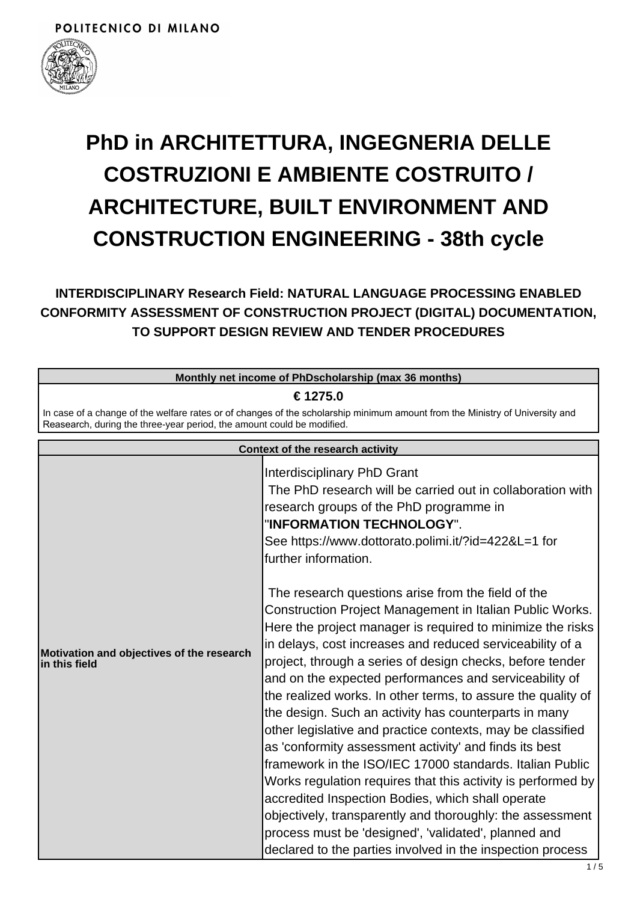

# **PhD in ARCHITETTURA, INGEGNERIA DELLE COSTRUZIONI E AMBIENTE COSTRUITO / ARCHITECTURE, BUILT ENVIRONMENT AND CONSTRUCTION ENGINEERING - 38th cycle**

**INTERDISCIPLINARY Research Field: NATURAL LANGUAGE PROCESSING ENABLED CONFORMITY ASSESSMENT OF CONSTRUCTION PROJECT (DIGITAL) DOCUMENTATION, TO SUPPORT DESIGN REVIEW AND TENDER PROCEDURES**

| Monthly net income of PhDscholarship (max 36 months)                                                                                                                                                   |                                                                                                                                                                                                                                                                                                                                                                                                                                                                                                                                                                                                                                                                                                                                                                                                                                                                                                                                                                                                                                                                                                                                                                                                                                           |  |
|--------------------------------------------------------------------------------------------------------------------------------------------------------------------------------------------------------|-------------------------------------------------------------------------------------------------------------------------------------------------------------------------------------------------------------------------------------------------------------------------------------------------------------------------------------------------------------------------------------------------------------------------------------------------------------------------------------------------------------------------------------------------------------------------------------------------------------------------------------------------------------------------------------------------------------------------------------------------------------------------------------------------------------------------------------------------------------------------------------------------------------------------------------------------------------------------------------------------------------------------------------------------------------------------------------------------------------------------------------------------------------------------------------------------------------------------------------------|--|
| € 1275.0                                                                                                                                                                                               |                                                                                                                                                                                                                                                                                                                                                                                                                                                                                                                                                                                                                                                                                                                                                                                                                                                                                                                                                                                                                                                                                                                                                                                                                                           |  |
| In case of a change of the welfare rates or of changes of the scholarship minimum amount from the Ministry of University and<br>Reasearch, during the three-year period, the amount could be modified. |                                                                                                                                                                                                                                                                                                                                                                                                                                                                                                                                                                                                                                                                                                                                                                                                                                                                                                                                                                                                                                                                                                                                                                                                                                           |  |
| <b>Context of the research activity</b>                                                                                                                                                                |                                                                                                                                                                                                                                                                                                                                                                                                                                                                                                                                                                                                                                                                                                                                                                                                                                                                                                                                                                                                                                                                                                                                                                                                                                           |  |
| Motivation and objectives of the research<br>$\sf lin$ this field                                                                                                                                      | Interdisciplinary PhD Grant<br>The PhD research will be carried out in collaboration with<br>research groups of the PhD programme in<br>"INFORMATION TECHNOLOGY".<br>See https://www.dottorato.polimi.it/?id=422&L=1 for<br>further information.<br>The research questions arise from the field of the<br>Construction Project Management in Italian Public Works.<br>Here the project manager is required to minimize the risks<br>in delays, cost increases and reduced serviceability of a<br>project, through a series of design checks, before tender<br>and on the expected performances and serviceability of<br>the realized works. In other terms, to assure the quality of<br>the design. Such an activity has counterparts in many<br>other legislative and practice contexts, may be classified<br>as 'conformity assessment activity' and finds its best<br>framework in the ISO/IEC 17000 standards. Italian Public<br>Works regulation requires that this activity is performed by<br>accredited Inspection Bodies, which shall operate<br>objectively, transparently and thoroughly: the assessment<br>process must be 'designed', 'validated', planned and<br>declared to the parties involved in the inspection process |  |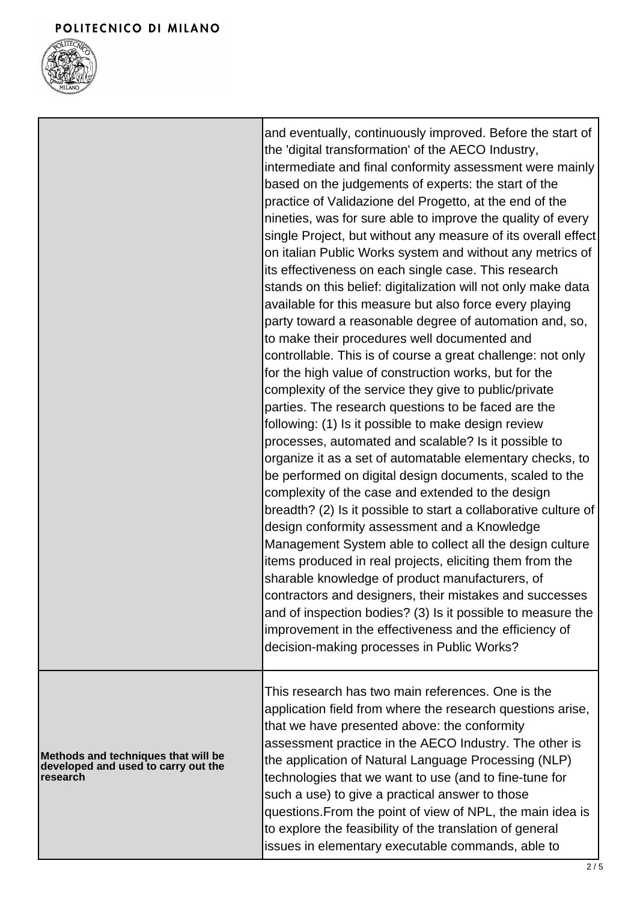

Г

|                                                                                        | and eventually, continuously improved. Before the start of<br>the 'digital transformation' of the AECO Industry,<br>intermediate and final conformity assessment were mainly<br>based on the judgements of experts: the start of the<br>practice of Validazione del Progetto, at the end of the<br>nineties, was for sure able to improve the quality of every<br>single Project, but without any measure of its overall effect<br>on italian Public Works system and without any metrics of<br>its effectiveness on each single case. This research<br>stands on this belief: digitalization will not only make data<br>available for this measure but also force every playing<br>party toward a reasonable degree of automation and, so,<br>to make their procedures well documented and<br>controllable. This is of course a great challenge: not only<br>for the high value of construction works, but for the<br>complexity of the service they give to public/private<br>parties. The research questions to be faced are the<br>following: (1) Is it possible to make design review<br>processes, automated and scalable? Is it possible to<br>organize it as a set of automatable elementary checks, to<br>be performed on digital design documents, scaled to the<br>complexity of the case and extended to the design<br>breadth? (2) Is it possible to start a collaborative culture of<br>design conformity assessment and a Knowledge<br>Management System able to collect all the design culture<br>items produced in real projects, eliciting them from the<br>sharable knowledge of product manufacturers, of<br>contractors and designers, their mistakes and successes<br>and of inspection bodies? (3) Is it possible to measure the<br>improvement in the effectiveness and the efficiency of<br>decision-making processes in Public Works? |
|----------------------------------------------------------------------------------------|-----------------------------------------------------------------------------------------------------------------------------------------------------------------------------------------------------------------------------------------------------------------------------------------------------------------------------------------------------------------------------------------------------------------------------------------------------------------------------------------------------------------------------------------------------------------------------------------------------------------------------------------------------------------------------------------------------------------------------------------------------------------------------------------------------------------------------------------------------------------------------------------------------------------------------------------------------------------------------------------------------------------------------------------------------------------------------------------------------------------------------------------------------------------------------------------------------------------------------------------------------------------------------------------------------------------------------------------------------------------------------------------------------------------------------------------------------------------------------------------------------------------------------------------------------------------------------------------------------------------------------------------------------------------------------------------------------------------------------------------------------------------------------------------------------------------------------------------------------------------|
| Methods and techniques that will be<br>developed and used to carry out the<br>research | This research has two main references. One is the<br>application field from where the research questions arise,<br>that we have presented above: the conformity<br>assessment practice in the AECO Industry. The other is<br>the application of Natural Language Processing (NLP)<br>technologies that we want to use (and to fine-tune for<br>such a use) to give a practical answer to those<br>questions. From the point of view of NPL, the main idea is<br>to explore the feasibility of the translation of general<br>issues in elementary executable commands, able to                                                                                                                                                                                                                                                                                                                                                                                                                                                                                                                                                                                                                                                                                                                                                                                                                                                                                                                                                                                                                                                                                                                                                                                                                                                                                   |

1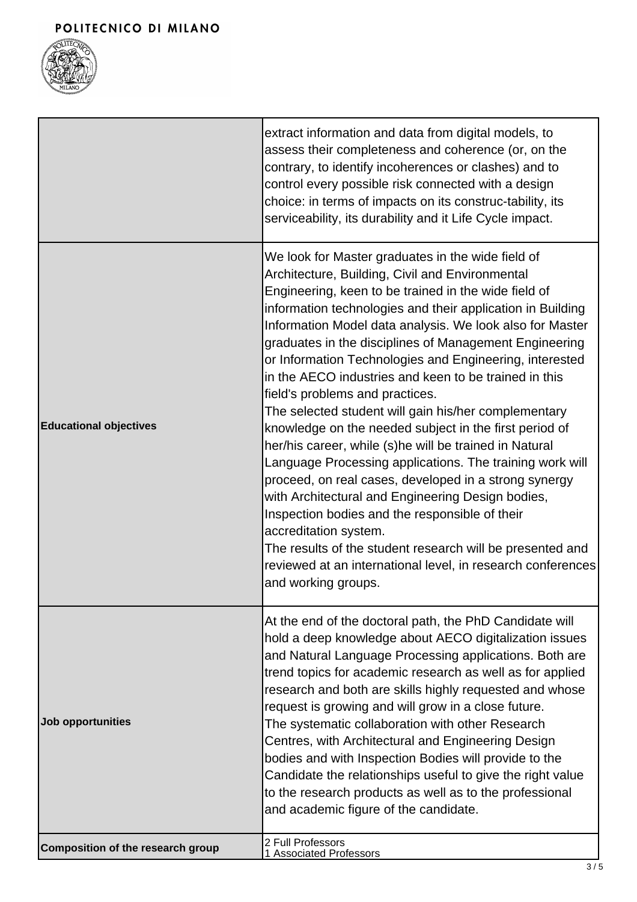

|                                   | extract information and data from digital models, to<br>assess their completeness and coherence (or, on the<br>contrary, to identify incoherences or clashes) and to<br>control every possible risk connected with a design<br>choice: in terms of impacts on its construc-tability, its<br>serviceability, its durability and it Life Cycle impact.                                                                                                                                                                                                                                                                                                                                                                                                                                                                                                                                                                                                                                                                                                                                        |
|-----------------------------------|---------------------------------------------------------------------------------------------------------------------------------------------------------------------------------------------------------------------------------------------------------------------------------------------------------------------------------------------------------------------------------------------------------------------------------------------------------------------------------------------------------------------------------------------------------------------------------------------------------------------------------------------------------------------------------------------------------------------------------------------------------------------------------------------------------------------------------------------------------------------------------------------------------------------------------------------------------------------------------------------------------------------------------------------------------------------------------------------|
| <b>Educational objectives</b>     | We look for Master graduates in the wide field of<br>Architecture, Building, Civil and Environmental<br>Engineering, keen to be trained in the wide field of<br>information technologies and their application in Building<br>Information Model data analysis. We look also for Master<br>graduates in the disciplines of Management Engineering<br>or Information Technologies and Engineering, interested<br>in the AECO industries and keen to be trained in this<br>field's problems and practices.<br>The selected student will gain his/her complementary<br>knowledge on the needed subject in the first period of<br>her/his career, while (s)he will be trained in Natural<br>Language Processing applications. The training work will<br>proceed, on real cases, developed in a strong synergy<br>with Architectural and Engineering Design bodies,<br>Inspection bodies and the responsible of their<br>accreditation system.<br>The results of the student research will be presented and<br>reviewed at an international level, in research conferences<br>and working groups. |
| Job opportunities                 | At the end of the doctoral path, the PhD Candidate will<br>hold a deep knowledge about AECO digitalization issues<br>and Natural Language Processing applications. Both are<br>trend topics for academic research as well as for applied<br>research and both are skills highly requested and whose<br>request is growing and will grow in a close future.<br>The systematic collaboration with other Research<br>Centres, with Architectural and Engineering Design<br>bodies and with Inspection Bodies will provide to the<br>Candidate the relationships useful to give the right value<br>to the research products as well as to the professional<br>and academic figure of the candidate.                                                                                                                                                                                                                                                                                                                                                                                             |
| Composition of the research group | 2 Full Professors<br>1 Associated Professors                                                                                                                                                                                                                                                                                                                                                                                                                                                                                                                                                                                                                                                                                                                                                                                                                                                                                                                                                                                                                                                |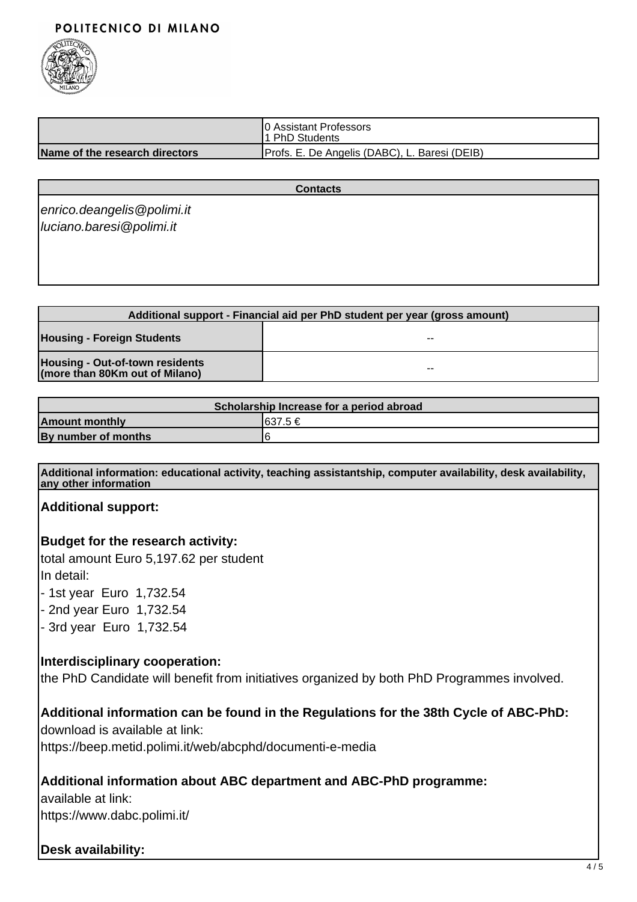## POLITECNICO DI MILANO



|                                | 10 Assistant Professors<br>11 PhD Students    |
|--------------------------------|-----------------------------------------------|
| Name of the research directors | Profs. E. De Angelis (DABC), L. Baresi (DEIB) |

#### **Contacts**

enrico.deangelis@polimi.it luciano.baresi@polimi.it

| Additional support - Financial aid per PhD student per year (gross amount) |                          |  |
|----------------------------------------------------------------------------|--------------------------|--|
| <b>Housing - Foreign Students</b>                                          | $\overline{\phantom{a}}$ |  |
| Housing - Out-of-town residents<br>(more than 80Km out of Milano)          | $- -$                    |  |

| Scholarship Increase for a period abroad |          |  |
|------------------------------------------|----------|--|
| <b>Amount monthly</b>                    | I637.5 € |  |
| By number of months                      |          |  |

**Additional information: educational activity, teaching assistantship, computer availability, desk availability, any other information**

**Additional support:**

**Budget for the research activity:**

total amount Euro 5,197.62 per student In detail:

- 1st year Euro 1,732.54

- 2nd year Euro 1,732.54
- 3rd year Euro 1,732.54

### **Interdisciplinary cooperation:**

the PhD Candidate will benefit from initiatives organized by both PhD Programmes involved.

# **Additional information can be found in the Regulations for the 38th Cycle of ABC-PhD:**

download is available at link: https://beep.metid.polimi.it/web/abcphd/documenti-e-media

# **Additional information about ABC department and ABC-PhD programme:**

available at link: https://www.dabc.polimi.it/

# **Desk availability:**